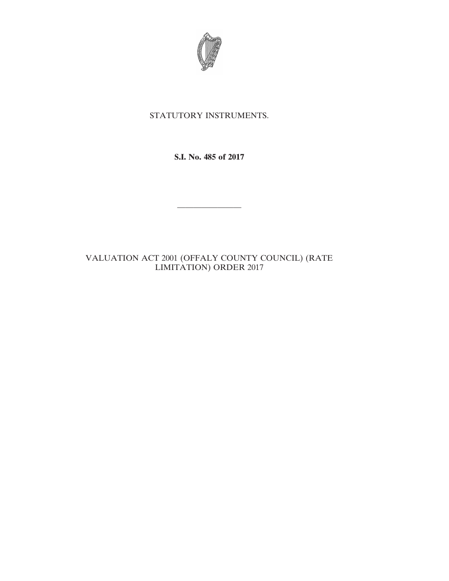

## STATUTORY INSTRUMENTS.

**S.I. No. 485 of 2017**

————————

## VALUATION ACT 2001 (OFFALY COUNTY COUNCIL) (RATE LIMITATION) ORDER 2017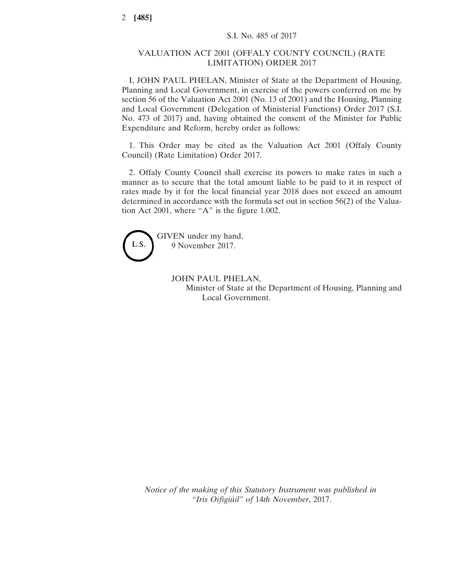## VALUATION ACT 2001 (OFFALY COUNTY COUNCIL) (RATE LIMITATION) ORDER 2017

I, JOHN PAUL PHELAN, Minister of State at the Department of Housing, Planning and Local Government, in exercise of the powers conferred on me by section 56 of the Valuation Act 2001 (No. 13 of 2001) and the Housing, Planning and Local Government (Delegation of Ministerial Functions) Order 2017 (S.I. No. 473 of 2017) and, having obtained the consent of the Minister for Public Expenditure and Reform, hereby order as follows:

1. This Order may be cited as the Valuation Act 2001 (Offaly County Council) (Rate Limitation) Order 2017.

2. Offaly County Council shall exercise its powers to make rates in such a manner as to secure that the total amount liable to be paid to it in respect of rates made by it for the local financial year 2018 does not exceed an amount determined in accordance with the formula set out in section 56(2) of the Valuation Act 2001, where "A" is the figure 1.002.



GIVEN under my hand, 9 November 2017.

> JOHN PAUL PHELAN, Minister of State at the Department of Housing, Planning and Local Government.

*Notice of the making of this Statutory Instrument was published in "Iris Oifigiúil" of* 14*th November*, 2017.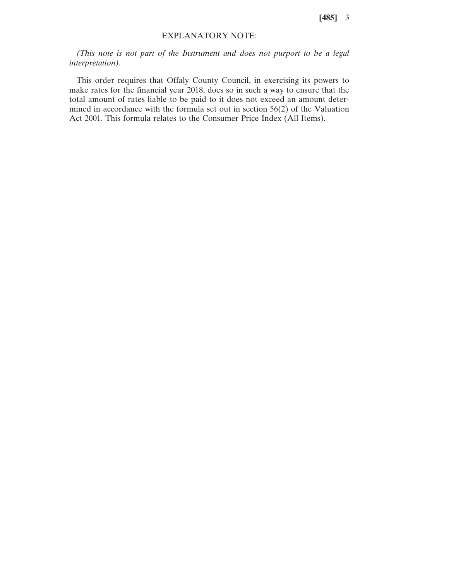**[485]** 3

## EXPLANATORY NOTE:

*(This note is not part of the Instrument and does not purport to be a legal interpretation).*

This order requires that Offaly County Council, in exercising its powers to make rates for the financial year 2018, does so in such a way to ensure that the total amount of rates liable to be paid to it does not exceed an amount determined in accordance with the formula set out in section 56(2) of the Valuation Act 2001. This formula relates to the Consumer Price Index (All Items).